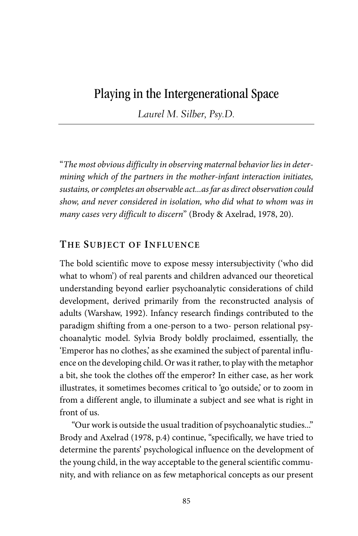# Playing in the Intergenerational Space

Laurel M. Silber, Psy.D.

"The most obvious difficulty in observing maternal behavior lies in determining which of the partners in the mother‐infant interaction initiates, sustains, or completes an observable act...as far as direct observation could show, and never considered in isolation, who did what to whom was in many cases very difficult to discern" (Brody & Axelrad, 1978, 20).

## **THE SUBJECT OF INFLUENCE**

The bold scientific move to expose messy intersubjectivity ('who did what to whom') of real parents and children advanced our theoretical understanding beyond earlier psychoanalytic considerations of child development, derived primarily from the reconstructed analysis of adults (Warshaw, 1992). Infancy research findings contributed to the paradigm shifting from a one‐person to a two‐ person relational psychoanalytic model. Sylvia Brody boldly proclaimed, essentially, the 'Emperor has no clothes,' as she examined the subject of parental influence on the developing child. Or was it rather, to play with the metaphor a bit, she took the clothes off the emperor? In either case, as her work illustrates, it sometimes becomes critical to 'go outside,' or to zoom in from a different angle, to illuminate a subject and see what is right in front of us.

"Our work is outside the usual tradition of psychoanalytic studies..." Brody and Axelrad (1978, p.4) continue, "specifically, we have tried to determine the parents' psychological influence on the development of the young child, in the way acceptable to the general scientific community, and with reliance on as few metaphorical concepts as our present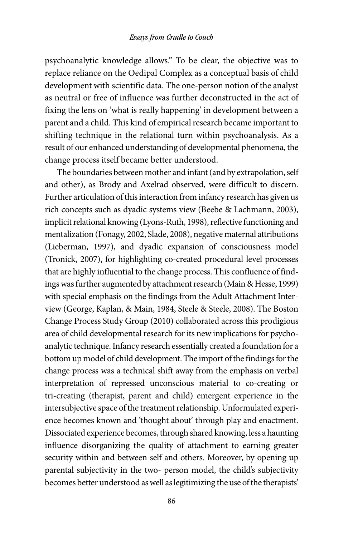psychoanalytic knowledge allows." To be clear, the objective was to replace reliance on the Oedipal Complex as a conceptual basis of child development with scientific data. The one‐person notion of the analyst as neutral or free of influence was further deconstructed in the act of fixing the lens on 'what is really happening' in development between a parent and a child. This kind of empirical research became important to shifting technique in the relational turn within psychoanalysis. As a result of our enhanced understanding of developmental phenomena, the change process itself became better understood.

The boundaries between mother and infant (and by extrapolation, self and other), as Brody and Axelrad observed, were difficult to discern. Further articulation of this interaction from infancy research has given us rich concepts such as dyadic systems view (Beebe & Lachmann, 2003), implicit relational knowing (Lyons‐Ruth, 1998), reflective functioning and mentalization (Fonagy, 2002, Slade, 2008), negative maternal attributions (Lieberman, 1997), and dyadic expansion of consciousness model (Tronick, 2007), for highlighting co-created procedural level processes that are highly influential to the change process. This confluence of findings was further augmented by attachment research (Main & Hesse, 1999) with special emphasis on the findings from the Adult Attachment Interview (George, Kaplan, & Main, 1984, Steele & Steele, 2008). The Boston Change Process Study Group (2010) collaborated across this prodigious area of child developmental research for its new implications for psychoanalytic technique. Infancy research essentially created a foundation for a bottom up model of child development. The import of the findings for the change process was a technical shift away from the emphasis on verbal interpretation of repressed unconscious material to co-creating or tri‐creating (therapist, parent and child) emergent experience in the intersubjective space of the treatment relationship. Unformulated experience becomes known and 'thought about' through play and enactment. Dissociated experience becomes, through shared knowing, less a haunting influence disorganizing the quality of attachment to earning greater security within and between self and others. Moreover, by opening up parental subjectivity in the two‐ person model, the child's subjectivity becomes better understood as well as legitimizing the use of the therapists'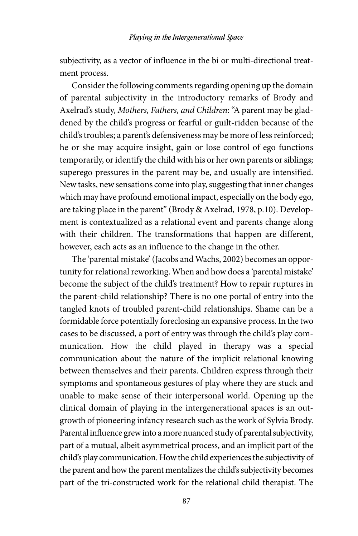subjectivity, as a vector of influence in the bi or multi-directional treatment process.

Consider the following comments regarding opening up the domain of parental subjectivity in the introductory remarks of Brody and Axelrad's study, Mothers, Fathers, and Children: "A parent may be gladdened by the child's progress or fearful or guilt‐ridden because of the child's troubles; a parent's defensiveness may be more of less reinforced; he or she may acquire insight, gain or lose control of ego functions temporarily, or identify the child with his or her own parents or siblings; superego pressures in the parent may be, and usually are intensified. New tasks, new sensations come into play, suggesting that inner changes which may have profound emotional impact, especially on the body ego, are taking place in the parent" (Brody & Axelrad, 1978, p.10). Development is contextualized as a relational event and parents change along with their children. The transformations that happen are different, however, each acts as an influence to the change in the other.

The 'parental mistake' (Jacobs and Wachs, 2002) becomes an opportunity for relational reworking. When and how does a 'parental mistake' become the subject of the child's treatment? How to repair ruptures in the parent‐child relationship? There is no one portal of entry into the tangled knots of troubled parent‐child relationships. Shame can be a formidable force potentially foreclosing an expansive process. In the two cases to be discussed, a port of entry was through the child's play communication. How the child played in therapy was a special communication about the nature of the implicit relational knowing between themselves and their parents. Children express through their symptoms and spontaneous gestures of play where they are stuck and unable to make sense of their interpersonal world. Opening up the clinical domain of playing in the intergenerational spaces is an outgrowth of pioneering infancy research such as the work of Sylvia Brody. Parental influence grew into a more nuanced study of parental subjectivity, part of a mutual, albeit asymmetrical process, and an implicit part of the child's play communication. How the child experiences the subjectivity of the parent and how the parent mentalizes the child's subjectivity becomes part of the tri-constructed work for the relational child therapist. The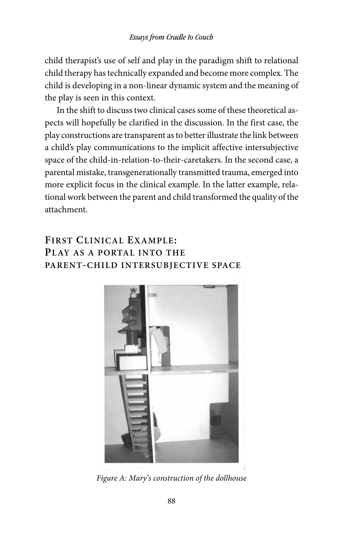child therapist's use of self and play in the paradigm shift to relational child therapy has technically expanded and become more complex. The child is developing in a non‐linear dynamic system and the meaning of the play is seen in this context.

In the shift to discuss two clinical cases some of these theoretical aspects will hopefully be clarified in the discussion. In the first case, the play constructions are transparent as to better illustrate the link between a child's play communications to the implicit affective intersubjective space of the child-in-relation-to-their-caretakers. In the second case, a parental mistake, transgenerationally transmitted trauma, emerged into more explicit focus in the clinical example. In the latter example, relational work between the parent and child transformed the quality of the attachment.

## **FIRST CLINICAL EXAMPLE: PLAY AS A PORTAL INTO THE PARENT-CHILD INTERSUBJECTIVE SPACE**



Figure A: Mary's construction of the dollhouse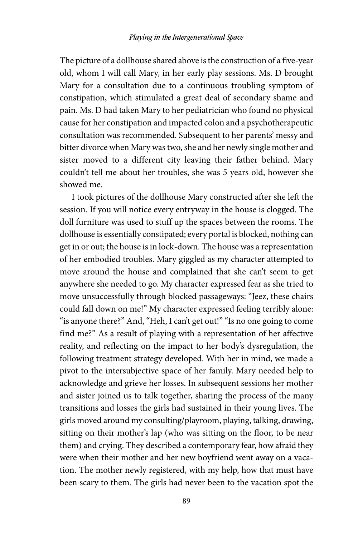The picture of a dollhouse shared above is the construction of a five-year old, whom I will call Mary, in her early play sessions. Ms. D brought Mary for a consultation due to a continuous troubling symptom of constipation, which stimulated a great deal of secondary shame and pain. Ms. D had taken Mary to her pediatrician who found no physical cause for her constipation and impacted colon and a psychotherapeutic consultation was recommended. Subsequent to her parents' messy and bitter divorce when Mary was two, she and her newly single mother and sister moved to a different city leaving their father behind. Mary couldn't tell me about her troubles, she was 5 years old, however she showed me.

I took pictures of the dollhouse Mary constructed after she left the session. If you will notice every entryway in the house is clogged. The doll furniture was used to stuff up the spaces between the rooms. The dollhouse is essentially constipated; every portal is blocked, nothing can get in or out; the house is in lock‐down. The house was a representation of her embodied troubles. Mary giggled as my character attempted to move around the house and complained that she can't seem to get anywhere she needed to go. My character expressed fear as she tried to move unsuccessfully through blocked passageways: "Jeez, these chairs could fall down on me!" My character expressed feeling terribly alone: "is anyone there?" And, "Heh, I can't get out!" "Is no one going to come find me?" As a result of playing with a representation of her affective reality, and reflecting on the impact to her body's dysregulation, the following treatment strategy developed. With her in mind, we made a pivot to the intersubjective space of her family. Mary needed help to acknowledge and grieve her losses. In subsequent sessions her mother and sister joined us to talk together, sharing the process of the many transitions and losses the girls had sustained in their young lives. The girls moved around my consulting/playroom, playing, talking, drawing, sitting on their mother's lap (who was sitting on the floor, to be near them) and crying. They described a contemporary fear, how afraid they were when their mother and her new boyfriend went away on a vacation. The mother newly registered, with my help, how that must have been scary to them. The girls had never been to the vacation spot the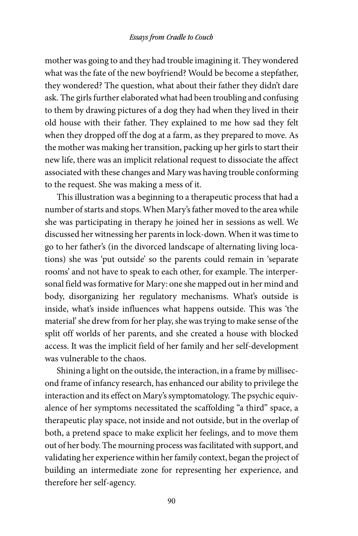mother was going to and they had trouble imagining it. They wondered what was the fate of the new boyfriend? Would be become a stepfather, they wondered? The question, what about their father they didn't dare ask. The girls further elaborated what had been troubling and confusing to them by drawing pictures of a dog they had when they lived in their old house with their father. They explained to me how sad they felt when they dropped off the dog at a farm, as they prepared to move. As the mother was making her transition, packing up her girls to start their new life, there was an implicit relational request to dissociate the affect associated with these changes and Mary was having trouble conforming to the request. She was making a mess of it.

This illustration was a beginning to a therapeutic process that had a number of starts and stops. When Mary's father moved to the area while she was participating in therapy he joined her in sessions as well. We discussed her witnessing her parents in lock‐down. When it was time to go to her father's (in the divorced landscape of alternating living locations) she was 'put outside' so the parents could remain in 'separate rooms' and not have to speak to each other, for example. The interpersonal field was formative for Mary: one she mapped out in her mind and body, disorganizing her regulatory mechanisms. What's outside is inside, what's inside influences what happens outside. This was 'the material' she drew from for her play, she was trying to make sense of the split off worlds of her parents, and she created a house with blocked access. It was the implicit field of her family and her self‐development was vulnerable to the chaos.

Shining a light on the outside, the interaction, in a frame by millisecond frame of infancy research, has enhanced our ability to privilege the interaction and its effect on Mary's symptomatology. The psychic equivalence of her symptoms necessitated the scaffolding "a third" space, a therapeutic play space, not inside and not outside, but in the overlap of both, a pretend space to make explicit her feelings, and to move them out of her body. The mourning process was facilitated with support, and validating her experience within her family context, began the project of building an intermediate zone for representing her experience, and therefore her self‐agency.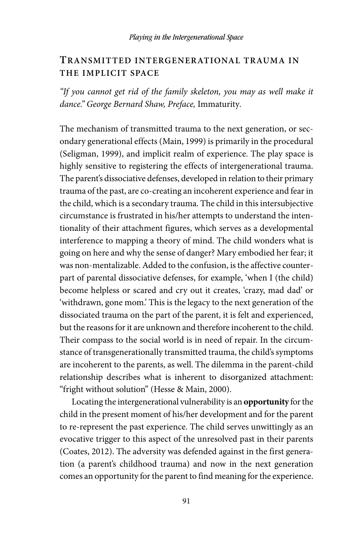## **TRANSMITTED INTERGENERATIONAL TRAUMA IN THE IMPLICIT SPACE**

"If you cannot get rid of the family skeleton, you may as well make it dance." George Bernard Shaw, Preface, Immaturity.

The mechanism of transmitted trauma to the next generation, or secondary generational effects (Main, 1999) is primarily in the procedural (Seligman, 1999), and implicit realm of experience. The play space is highly sensitive to registering the effects of intergenerational trauma. The parent's dissociative defenses, developed in relation to their primary trauma of the past, are co‐creating an incoherent experience and fear in the child, which is a secondary trauma. The child in this intersubjective circumstance is frustrated in his/her attempts to understand the intentionality of their attachment figures, which serves as a developmental interference to mapping a theory of mind. The child wonders what is going on here and why the sense of danger? Mary embodied her fear; it was non-mentalizable. Added to the confusion, is the affective counterpart of parental dissociative defenses, for example, 'when I (the child) become helpless or scared and cry out it creates, 'crazy, mad dad' or 'withdrawn, gone mom.' This is the legacy to the next generation of the dissociated trauma on the part of the parent, it is felt and experienced, but the reasons for it are unknown and therefore incoherent to the child. Their compass to the social world is in need of repair. In the circumstance of transgenerationally transmitted trauma, the child's symptoms are incoherent to the parents, as well. The dilemma in the parent-child relationship describes what is inherent to disorganized attachment: "fright without solution" (Hesse & Main, 2000).

Locating the intergenerational vulnerability is an **opportunity** for the child in the present moment of his/her development and for the parent to re‐represent the past experience. The child serves unwittingly as an evocative trigger to this aspect of the unresolved past in their parents (Coates, 2012). The adversity was defended against in the first generation (a parent's childhood trauma) and now in the next generation comes an opportunity for the parent to find meaning for the experience.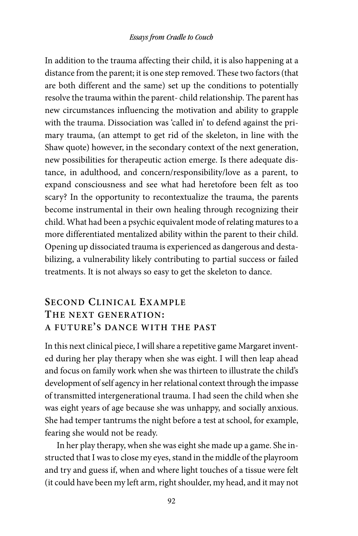In addition to the trauma affecting their child, it is also happening at a distance from the parent; it is one step removed. These two factors (that are both different and the same) set up the conditions to potentially resolve the trauma within the parent‐ child relationship. The parent has new circumstances influencing the motivation and ability to grapple with the trauma. Dissociation was 'called in' to defend against the primary trauma, (an attempt to get rid of the skeleton, in line with the Shaw quote) however, in the secondary context of the next generation, new possibilities for therapeutic action emerge. Is there adequate distance, in adulthood, and concern/responsibility/love as a parent, to expand consciousness and see what had heretofore been felt as too scary? In the opportunity to recontextualize the trauma, the parents become instrumental in their own healing through recognizing their child. What had been a psychic equivalent mode of relating matures to a more differentiated mentalized ability within the parent to their child. Opening up dissociated trauma is experienced as dangerous and destabilizing, a vulnerability likely contributing to partial success or failed treatments. It is not always so easy to get the skeleton to dance.

## **SECOND CLINICAL EXAMPLE THE NEXT GENERATION: A FUTURE'S DANCE WITH THE PAST**

In this next clinical piece, I will share a repetitive game Margaret invented during her play therapy when she was eight. I will then leap ahead and focus on family work when she was thirteen to illustrate the child's development of self agency in her relational context through the impasse of transmitted intergenerational trauma. I had seen the child when she was eight years of age because she was unhappy, and socially anxious. She had temper tantrums the night before a test at school, for example, fearing she would not be ready.

In her play therapy, when she was eight she made up a game. She instructed that I was to close my eyes, stand in the middle of the playroom and try and guess if, when and where light touches of a tissue were felt (it could have been my left arm, right shoulder, my head, and it may not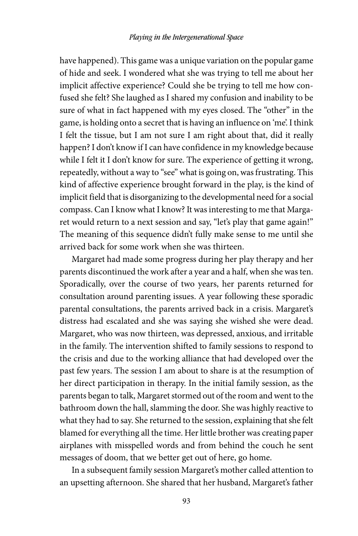have happened). This game was a unique variation on the popular game of hide and seek. I wondered what she was trying to tell me about her implicit affective experience? Could she be trying to tell me how confused she felt? She laughed as I shared my confusion and inability to be sure of what in fact happened with my eyes closed. The "other" in the game, is holding onto a secret that is having an influence on 'me'. I think I felt the tissue, but I am not sure I am right about that, did it really happen? I don't know if I can have confidence in my knowledge because while I felt it I don't know for sure. The experience of getting it wrong, repeatedly, without a way to "see" what is going on, was frustrating. This kind of affective experience brought forward in the play, is the kind of implicit field that is disorganizing to the developmental need for a social compass. Can I know what I know? It was interesting to me that Margaret would return to a next session and say, "let's play that game again!" The meaning of this sequence didn't fully make sense to me until she arrived back for some work when she was thirteen.

Margaret had made some progress during her play therapy and her parents discontinued the work after a year and a half, when she was ten. Sporadically, over the course of two years, her parents returned for consultation around parenting issues. A year following these sporadic parental consultations, the parents arrived back in a crisis. Margaret's distress had escalated and she was saying she wished she were dead. Margaret, who was now thirteen, was depressed, anxious, and irritable in the family. The intervention shifted to family sessions to respond to the crisis and due to the working alliance that had developed over the past few years. The session I am about to share is at the resumption of her direct participation in therapy. In the initial family session, as the parents began to talk, Margaret stormed out of the room and went to the bathroom down the hall, slamming the door. She was highly reactive to what they had to say. She returned to the session, explaining that she felt blamed for everything all the time. Her little brother was creating paper airplanes with misspelled words and from behind the couch he sent messages of doom, that we better get out of here, go home.

In a subsequent family session Margaret's mother called attention to an upsetting afternoon. She shared that her husband, Margaret's father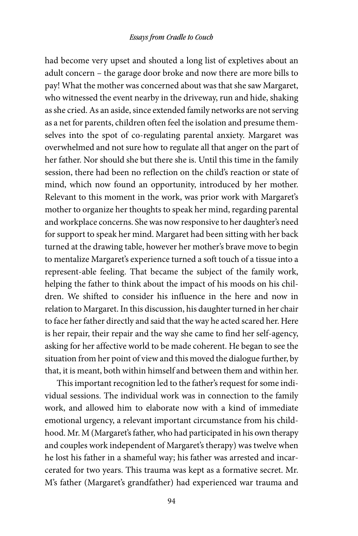had become very upset and shouted a long list of expletives about an adult concern – the garage door broke and now there are more bills to pay! What the mother was concerned about was that she saw Margaret, who witnessed the event nearby in the driveway, run and hide, shaking as she cried. As an aside, since extended family networks are not serving as a net for parents, children often feel the isolation and presume themselves into the spot of co-regulating parental anxiety. Margaret was overwhelmed and not sure how to regulate all that anger on the part of her father. Nor should she but there she is. Until this time in the family session, there had been no reflection on the child's reaction or state of mind, which now found an opportunity, introduced by her mother. Relevant to this moment in the work, was prior work with Margaret's mother to organize her thoughts to speak her mind, regarding parental and workplace concerns. She was now responsive to her daughter's need for support to speak her mind. Margaret had been sitting with her back turned at the drawing table, however her mother's brave move to begin to mentalize Margaret's experience turned a soft touch of a tissue into a represent‐able feeling. That became the subject of the family work, helping the father to think about the impact of his moods on his children. We shifted to consider his influence in the here and now in relation to Margaret. In this discussion, his daughter turned in her chair to face her father directly and said that the way he acted scared her. Here is her repair, their repair and the way she came to find her self‐agency, asking for her affective world to be made coherent. He began to see the situation from her point of view and this moved the dialogue further, by that, it is meant, both within himself and between them and within her.

This important recognition led to the father's request for some individual sessions. The individual work was in connection to the family work, and allowed him to elaborate now with a kind of immediate emotional urgency, a relevant important circumstance from his childhood. Mr. M (Margaret's father, who had participated in his own therapy and couples work independent of Margaret's therapy) was twelve when he lost his father in a shameful way; his father was arrested and incarcerated for two years. This trauma was kept as a formative secret. Mr. M's father (Margaret's grandfather) had experienced war trauma and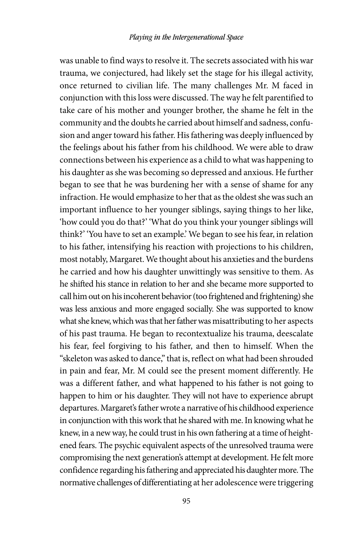was unable to find ways to resolve it. The secrets associated with his war trauma, we conjectured, had likely set the stage for his illegal activity, once returned to civilian life. The many challenges Mr. M faced in conjunction with this loss were discussed. The way he felt parentified to take care of his mother and younger brother, the shame he felt in the community and the doubts he carried about himself and sadness, confusion and anger toward his father. His fathering was deeply influenced by the feelings about his father from his childhood. We were able to draw connections between his experience as a child to what was happening to his daughter as she was becoming so depressed and anxious. He further began to see that he was burdening her with a sense of shame for any infraction. He would emphasize to her that as the oldest she was such an important influence to her younger siblings, saying things to her like, 'how could you do that?' 'What do you think your younger siblings will think?' 'You have to set an example.' We began to see his fear, in relation to his father, intensifying his reaction with projections to his children, most notably, Margaret. We thought about his anxieties and the burdens he carried and how his daughter unwittingly was sensitive to them. As he shifted his stance in relation to her and she became more supported to call him out on his incoherent behavior (too frightened and frightening) she was less anxious and more engaged socially. She was supported to know what she knew, which was that her father was misattributing to her aspects of his past trauma. He began to recontextualize his trauma, deescalate his fear, feel forgiving to his father, and then to himself. When the "skeleton was asked to dance," that is, reflect on what had been shrouded in pain and fear, Mr. M could see the present moment differently. He was a different father, and what happened to his father is not going to happen to him or his daughter. They will not have to experience abrupt departures. Margaret's father wrote a narrative of his childhood experience in conjunction with this work that he shared with me. In knowing what he knew, in a new way, he could trust in his own fathering at a time of heightened fears. The psychic equivalent aspects of the unresolved trauma were compromising the next generation's attempt at development. He felt more confidence regarding his fathering and appreciated his daughter more. The normative challenges of differentiating at her adolescence were triggering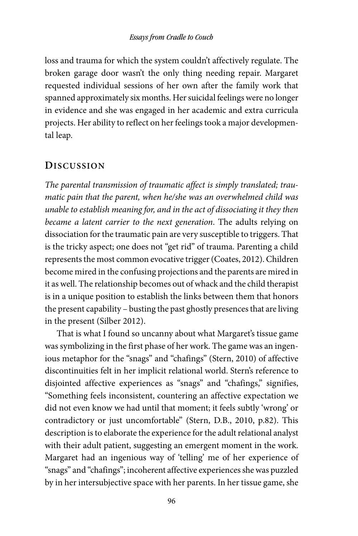loss and trauma for which the system couldn't affectively regulate. The broken garage door wasn't the only thing needing repair. Margaret requested individual sessions of her own after the family work that spanned approximately six months. Her suicidal feelings were no longer in evidence and she was engaged in her academic and extra curricula projects. Her ability to reflect on her feelings took a major developmental leap.

## **DISCUSSION**

The parental transmission of traumatic affect is simply translated; traumatic pain that the parent, when he/she was an overwhelmed child was unable to establish meaning for, and in the act of dissociating it they then became a latent carrier to the next generation. The adults relying on dissociation for the traumatic pain are very susceptible to triggers. That is the tricky aspect; one does not "get rid" of trauma. Parenting a child represents the most common evocative trigger (Coates, 2012). Children become mired in the confusing projections and the parents are mired in it as well. The relationship becomes out of whack and the child therapist is in a unique position to establish the links between them that honors the present capability – busting the past ghostly presences that are living in the present (Silber 2012).

That is what I found so uncanny about what Margaret's tissue game was symbolizing in the first phase of her work. The game was an ingenious metaphor for the "snags" and "chafings" (Stern, 2010) of affective discontinuities felt in her implicit relational world. Stern's reference to disjointed affective experiences as "snags" and "chafings," signifies, "Something feels inconsistent, countering an affective expectation we did not even know we had until that moment; it feels subtly 'wrong' or contradictory or just uncomfortable" (Stern, D.B., 2010, p.82). This description is to elaborate the experience for the adult relational analyst with their adult patient, suggesting an emergent moment in the work. Margaret had an ingenious way of 'telling' me of her experience of "snags" and "chafings"; incoherent affective experiences she was puzzled by in her intersubjective space with her parents. In her tissue game, she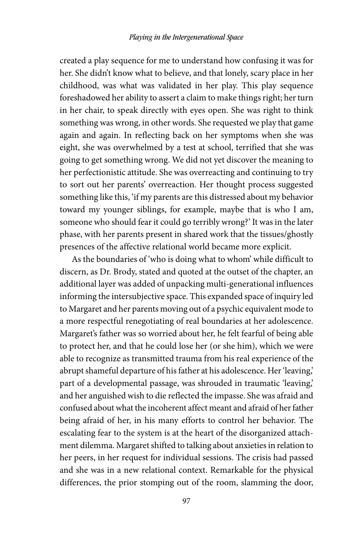created a play sequence for me to understand how confusing it was for her. She didn't know what to believe, and that lonely, scary place in her childhood, was what was validated in her play. This play sequence foreshadowed her ability to assert a claim to make things right; her turn in her chair, to speak directly with eyes open. She was right to think something was wrong, in other words. She requested we play that game again and again. In reflecting back on her symptoms when she was eight, she was overwhelmed by a test at school, terrified that she was going to get something wrong. We did not yet discover the meaning to her perfectionistic attitude. She was overreacting and continuing to try to sort out her parents' overreaction. Her thought process suggested something like this, 'if my parents are this distressed about my behavior toward my younger siblings, for example, maybe that is who I am, someone who should fear it could go terribly wrong?' It was in the later phase, with her parents present in shared work that the tissues/ghostly presences of the affective relational world became more explicit.

As the boundaries of 'who is doing what to whom' while difficult to discern, as Dr. Brody, stated and quoted at the outset of the chapter, an additional layer was added of unpacking multi‐generational influences informing the intersubjective space. This expanded space of inquiry led to Margaret and her parents moving out of a psychic equivalent mode to a more respectful renegotiating of real boundaries at her adolescence. Margaret's father was so worried about her, he felt fearful of being able to protect her, and that he could lose her (or she him), which we were able to recognize as transmitted trauma from his real experience of the abrupt shameful departure of his father at his adolescence. Her 'leaving,' part of a developmental passage, was shrouded in traumatic 'leaving,' and her anguished wish to die reflected the impasse. She was afraid and confused about what the incoherent affect meant and afraid of her father being afraid of her, in his many efforts to control her behavior. The escalating fear to the system is at the heart of the disorganized attachment dilemma. Margaret shifted to talking about anxieties in relation to her peers, in her request for individual sessions. The crisis had passed and she was in a new relational context. Remarkable for the physical differences, the prior stomping out of the room, slamming the door,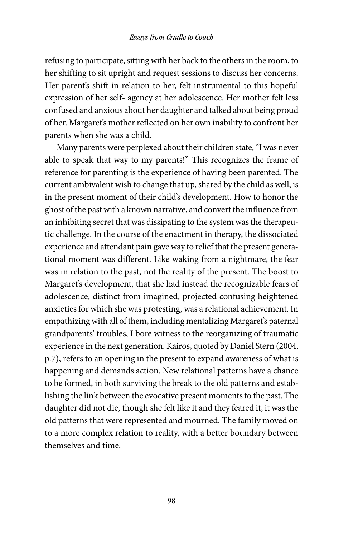#### Essays from Cradle to Couch

refusing to participate, sitting with her back to the others in the room, to her shifting to sit upright and request sessions to discuss her concerns. Her parent's shift in relation to her, felt instrumental to this hopeful expression of her self‐ agency at her adolescence. Her mother felt less confused and anxious about her daughter and talked about being proud of her. Margaret's mother reflected on her own inability to confront her parents when she was a child.

Many parents were perplexed about their children state, "I was never able to speak that way to my parents!" This recognizes the frame of reference for parenting is the experience of having been parented. The current ambivalent wish to change that up, shared by the child as well, is in the present moment of their child's development. How to honor the ghost of the past with a known narrative, and convert the influence from an inhibiting secret that was dissipating to the system was the therapeutic challenge. In the course of the enactment in therapy, the dissociated experience and attendant pain gave way to relief that the present generational moment was different. Like waking from a nightmare, the fear was in relation to the past, not the reality of the present. The boost to Margaret's development, that she had instead the recognizable fears of adolescence, distinct from imagined, projected confusing heightened anxieties for which she was protesting, was a relational achievement. In empathizing with all of them, including mentalizing Margaret's paternal grandparents' troubles, I bore witness to the reorganizing of traumatic experience in the next generation. Kairos, quoted by Daniel Stern (2004, p.7), refers to an opening in the present to expand awareness of what is happening and demands action. New relational patterns have a chance to be formed, in both surviving the break to the old patterns and establishing the link between the evocative present moments to the past. The daughter did not die, though she felt like it and they feared it, it was the old patterns that were represented and mourned. The family moved on to a more complex relation to reality, with a better boundary between themselves and time.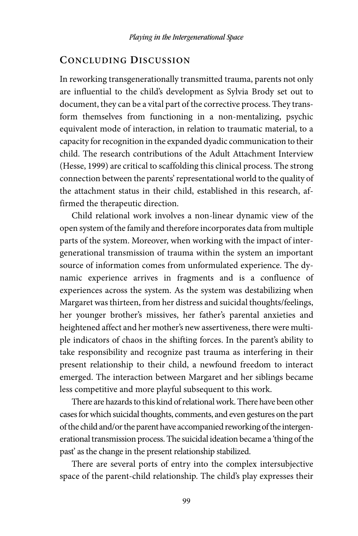## **CONCLUDING DISCUSSION**

In reworking transgenerationally transmitted trauma, parents not only are influential to the child's development as Sylvia Brody set out to document, they can be a vital part of the corrective process. They transform themselves from functioning in a non-mentalizing, psychic equivalent mode of interaction, in relation to traumatic material, to a capacity for recognition in the expanded dyadic communication to their child. The research contributions of the Adult Attachment Interview (Hesse, 1999) are critical to scaffolding this clinical process. The strong connection between the parents' representational world to the quality of the attachment status in their child, established in this research, affirmed the therapeutic direction.

Child relational work involves a non‐linear dynamic view of the open system of the family and therefore incorporates data from multiple parts of the system. Moreover, when working with the impact of intergenerational transmission of trauma within the system an important source of information comes from unformulated experience. The dynamic experience arrives in fragments and is a confluence of experiences across the system. As the system was destabilizing when Margaret was thirteen, from her distress and suicidal thoughts/feelings, her younger brother's missives, her father's parental anxieties and heightened affect and her mother's new assertiveness, there were multiple indicators of chaos in the shifting forces. In the parent's ability to take responsibility and recognize past trauma as interfering in their present relationship to their child, a newfound freedom to interact emerged. The interaction between Margaret and her siblings became less competitive and more playful subsequent to this work.

There are hazards to this kind of relational work. There have been other cases for which suicidal thoughts, comments, and even gestures on the part of the child and/or the parent have accompanied reworking of the intergenerational transmission process. The suicidal ideation became a 'thing of the past' as the change in the present relationship stabilized.

There are several ports of entry into the complex intersubjective space of the parent-child relationship. The child's play expresses their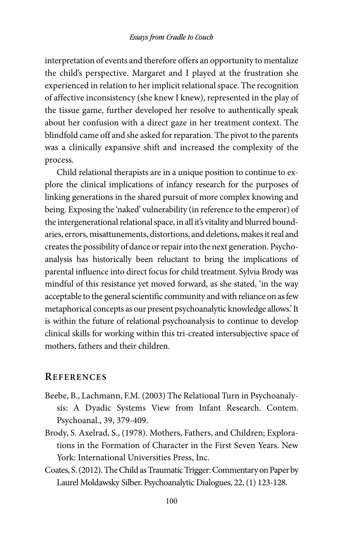interpretation of events and therefore offers an opportunity to mentalize the child's perspective. Margaret and I played at the frustration she experienced in relation to her implicit relational space. The recognition of affective inconsistency (she knew I knew), represented in the play of the tissue game, further developed her resolve to authentically speak about her confusion with a direct gaze in her treatment context. The blindfold came off and she asked for reparation. The pivot to the parents was a clinically expansive shift and increased the complexity of the process.

Child relational therapists are in a unique position to continue to explore the clinical implications of infancy research for the purposes of linking generations in the shared pursuit of more complex knowing and being. Exposing the 'naked' vulnerability (in reference to the emperor) of the intergenerational relational space, in all it's vitality and blurred boundaries, errors, misattunements, distortions, and deletions, makes it real and creates the possibility of dance or repair into the next generation. Psychoanalysis has historically been reluctant to bring the implications of parental influence into direct focus for child treatment. Sylvia Brody was mindful of this resistance yet moved forward, as she stated, 'in the way acceptable to the general scientific community and with reliance on as few metaphorical concepts as our present psychoanalytic knowledge allows.' It is within the future of relational psychoanalysis to continue to develop clinical skills for working within this tri‐created intersubjective space of mothers, fathers and their children.

#### **REFERENCES**

- Beebe, B., Lachmann, F.M. (2003) The Relational Turn in Psychoanalysis: A Dyadic Systems View from Infant Research. Contem. Psychoanal., 39, 379‐409.
- Brody, S. Axelrad, S., (1978). Mothers, Fathers, and Children; Explorations in the Formation of Character in the First Seven Years. New York: International Universities Press, Inc.
- Coates, S. (2012). The Child as Traumatic Trigger: Commentary on Paper by Laurel Moldawsky Silber. Psychoanalytic Dialogues, 22, (1) 123‐128.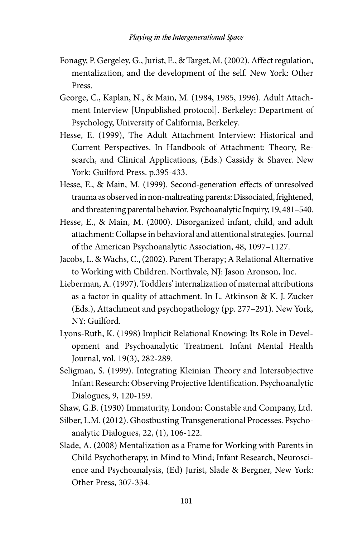- Fonagy, P. Gergeley, G., Jurist, E., & Target, M. (2002). Affect regulation, mentalization, and the development of the self. New York: Other Press.
- George, C., Kaplan, N., & Main, M. (1984, 1985, 1996). Adult Attachment Interview [Unpublished protocol]. Berkeley: Department of Psychology, University of California, Berkeley.
- Hesse, E. (1999), The Adult Attachment Interview: Historical and Current Perspectives. In Handbook of Attachment: Theory, Research, and Clinical Applications, (Eds.) Cassidy & Shaver. New York: Guilford Press. p.395‐433.
- Hesse, E., & Main, M. (1999). Second-generation effects of unresolved trauma as observed in non‐maltreating parents: Dissociated, frightened, and threatening parental behavior. Psychoanalytic Inquiry, 19, 481–540.
- Hesse, E., & Main, M. (2000). Disorganized infant, child, and adult attachment: Collapse in behavioral and attentional strategies. Journal of the American Psychoanalytic Association, 48, 1097–1127.
- Jacobs, L. & Wachs, C., (2002). Parent Therapy; A Relational Alternative to Working with Children. Northvale, NJ: Jason Aronson, Inc.
- Lieberman, A. (1997). Toddlers' internalization of maternal attributions as a factor in quality of attachment. In L. Atkinson & K. J. Zucker (Eds.), Attachment and psychopathology (pp. 277–291). New York, NY: Guilford.
- Lyons‐Ruth, K. (1998) Implicit Relational Knowing: Its Role in Development and Psychoanalytic Treatment. Infant Mental Health Journal, vol. 19(3), 282‐289.
- Seligman, S. (1999). Integrating Kleinian Theory and Intersubjective Infant Research: Observing Projective Identification. Psychoanalytic Dialogues, 9, 120‐159.
- Shaw, G.B. (1930) Immaturity, London: Constable and Company, Ltd.
- Silber, L.M. (2012). Ghostbusting Transgenerational Processes. Psychoanalytic Dialogues, 22, (1), 106‐122.
- Slade, A. (2008) Mentalization as a Frame for Working with Parents in Child Psychotherapy, in Mind to Mind; Infant Research, Neuroscience and Psychoanalysis, (Ed) Jurist, Slade & Bergner, New York: Other Press, 307‐334.